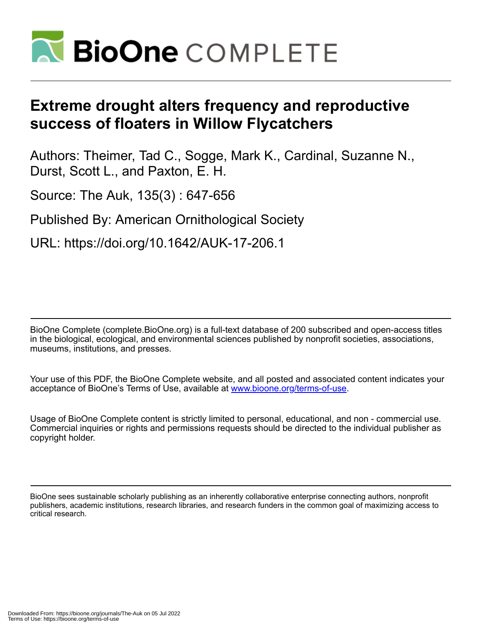

# **Extreme drought alters frequency and reproductive success of floaters in Willow Flycatchers**

Authors: Theimer, Tad C., Sogge, Mark K., Cardinal, Suzanne N., Durst, Scott L., and Paxton, E. H.

Source: The Auk, 135(3) : 647-656

Published By: American Ornithological Society

URL: https://doi.org/10.1642/AUK-17-206.1

BioOne Complete (complete.BioOne.org) is a full-text database of 200 subscribed and open-access titles in the biological, ecological, and environmental sciences published by nonprofit societies, associations, museums, institutions, and presses.

Your use of this PDF, the BioOne Complete website, and all posted and associated content indicates your acceptance of BioOne's Terms of Use, available at www.bioone.org/terms-of-use.

Usage of BioOne Complete content is strictly limited to personal, educational, and non - commercial use. Commercial inquiries or rights and permissions requests should be directed to the individual publisher as copyright holder.

BioOne sees sustainable scholarly publishing as an inherently collaborative enterprise connecting authors, nonprofit publishers, academic institutions, research libraries, and research funders in the common goal of maximizing access to critical research.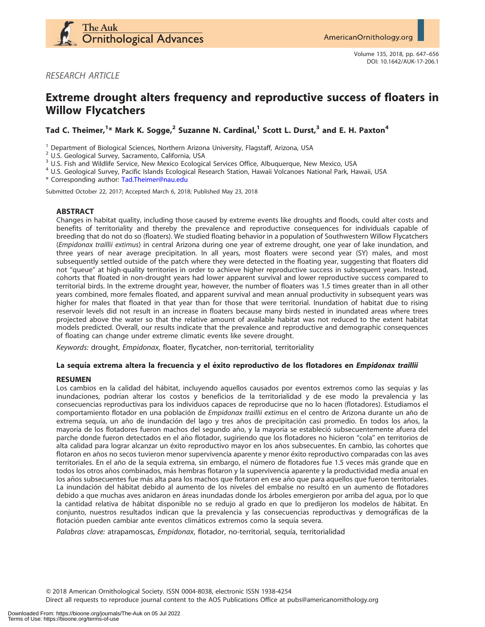

# RESEARCH ARTICLE

# Extreme drought alters frequency and reproductive success of floaters in Willow Flycatchers

Tad C. Theimer, $^{1\ast}$  Mark K. Sogge, $^2$  Suzanne N. Cardinal, $^1$  Scott L. Durst, $^3$  and E. H. Paxton $^4$ 

<sup>1</sup> Department of Biological Sciences, Northern Arizona University, Flagstaff, Arizona, USA<br>
<sup>2</sup> U.S. Geological Survey, Sacramento, California, USA<br>
<sup>3</sup> U.S. Fish and Wildlife Service, New Mexico Ecological Services Offic

\* Corresponding author: [Tad.Theimer@nau.edu](mailto:Tad.Theimer@nau.edu)

Submitted October 22, 2017; Accepted March 6, 2018; Published May 23, 2018

#### ABSTRACT

Changes in habitat quality, including those caused by extreme events like droughts and floods, could alter costs and benefits of territoriality and thereby the prevalence and reproductive consequences for individuals capable of breeding that do not do so (floaters). We studied floating behavior in a population of Southwestern Willow Flycatchers (Empidonax traillii extimus) in central Arizona during one year of extreme drought, one year of lake inundation, and three years of near average precipitation. In all years, most floaters were second year (SY) males, and most subsequently settled outside of the patch where they were detected in the floating year, suggesting that floaters did not ''queue'' at high-quality territories in order to achieve higher reproductive success in subsequent years. Instead, cohorts that floated in non-drought years had lower apparent survival and lower reproductive success compared to territorial birds. In the extreme drought year, however, the number of floaters was 1.5 times greater than in all other years combined, more females floated, and apparent survival and mean annual productivity in subsequent years was higher for males that floated in that year than for those that were territorial. Inundation of habitat due to rising reservoir levels did not result in an increase in floaters because many birds nested in inundated areas where trees projected above the water so that the relative amount of available habitat was not reduced to the extent habitat models predicted. Overall, our results indicate that the prevalence and reproductive and demographic consequences of floating can change under extreme climatic events like severe drought.

Keywords: drought, Empidonax, floater, flycatcher, non-territorial, territoriality

# La sequía extrema altera la frecuencia y el éxito reproductivo de los flotadores en Empidonax traillii

#### RESUMEN

Los cambios en la calidad del hábitat, incluyendo aquellos causados por eventos extremos como las sequías y las inundaciones, podrían alterar los costos y beneficios de la territorialidad y de ese modo la prevalencia y las consecuencias reproductivas para los individuos capaces de reproducirse que no lo hacen (flotadores). Estudiamos el comportamiento flotador en una población de Empidonax traillii extimus en el centro de Arizona durante un año de extrema sequía, un año de inundación del lago y tres años de precipitación casi promedio. En todos los años, la mayoría de los flotadores fueron machos del segundo año, y la mayoría se estableció subsecuentemente afuera del parche donde fueron detectados en el año flotador, sugiriendo que los flotadores no hicieron "cola" en territorios de alta calidad para lograr alcanzar un éxito reproductivo mayor en los años subsecuentes. En cambio, las cohortes que flotaron en años no secos tuvieron menor supervivencia aparente y menor éxito reproductivo comparadas con las aves territoriales. En el año de la sequía extrema, sin embargo, el número de flotadores fue 1.5 veces más grande que en todos los otros años combinados, más hembras flotaron y la supervivencia aparente y la productividad media anual en los años subsecuentes fue más alta para los machos que flotaron en ese año que para aquellos que fueron territoriales. La inundación del hábitat debido al aumento de los niveles del embalse no resultó en un aumento de flotadores debido a que muchas aves anidaron en áreas inundadas donde los árboles emergieron por arriba del agua, por lo que la cantidad relativa de hábitat disponible no se redujo al grado en que lo predijeron los modelos de hábitat. En conjunto, nuestros resultados indican que la prevalencia y las consecuencias reproductivas y demográficas de la flotación pueden cambiar ante eventos climáticos extremos como la sequía severa.

Palabras clave: atrapamoscas, Empidonax, flotador, no-territorial, sequía, territorialidad

Q 2018 American Ornithological Society. ISSN 0004-8038, electronic ISSN 1938-4254

Direct all requests to reproduce journal content to the AOS Publications Office at pubs@americanornithology.org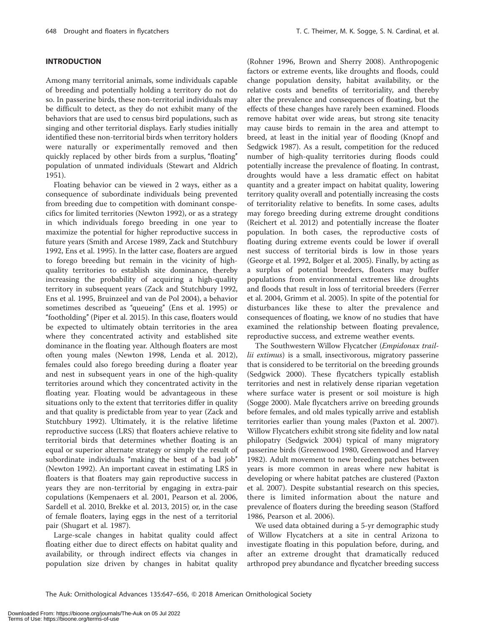# INTRODUCTION

Among many territorial animals, some individuals capable of breeding and potentially holding a territory do not do so. In passerine birds, these non-territorial individuals may be difficult to detect, as they do not exhibit many of the behaviors that are used to census bird populations, such as singing and other territorial displays. Early studies initially identified these non-territorial birds when territory holders were naturally or experimentally removed and then quickly replaced by other birds from a surplus, "floating" population of unmated individuals (Stewart and Aldrich 1951).

Floating behavior can be viewed in 2 ways, either as a consequence of subordinate individuals being prevented from breeding due to competition with dominant conspecifics for limited territories (Newton 1992), or as a strategy in which individuals forego breeding in one year to maximize the potential for higher reproductive success in future years (Smith and Arcese 1989, Zack and Stutchbury 1992, Ens et al. 1995). In the latter case, floaters are argued to forego breeding but remain in the vicinity of highquality territories to establish site dominance, thereby increasing the probability of acquiring a high-quality territory in subsequent years (Zack and Stutchbury 1992, Ens et al. 1995, Bruinzeel and van de Pol 2004), a behavior sometimes described as "queueing" (Ens et al. 1995) or "footholding" (Piper et al. 2015). In this case, floaters would be expected to ultimately obtain territories in the area where they concentrated activity and established site dominance in the floating year. Although floaters are most often young males (Newton 1998, Lenda et al. 2012), females could also forego breeding during a floater year and nest in subsequent years in one of the high-quality territories around which they concentrated activity in the floating year. Floating would be advantageous in these situations only to the extent that territories differ in quality and that quality is predictable from year to year (Zack and Stutchbury 1992). Ultimately, it is the relative lifetime reproductive success (LRS) that floaters achieve relative to territorial birds that determines whether floating is an equal or superior alternate strategy or simply the result of subordinate individuals "making the best of a bad job" (Newton 1992). An important caveat in estimating LRS in floaters is that floaters may gain reproductive success in years they are non-territorial by engaging in extra-pair copulations (Kempenaers et al. 2001, Pearson et al. 2006, Sardell et al. 2010, Brekke et al. 2013, 2015) or, in the case of female floaters, laying eggs in the nest of a territorial pair (Shugart et al. 1987).

Large-scale changes in habitat quality could affect floating either due to direct effects on habitat quality and availability, or through indirect effects via changes in population size driven by changes in habitat quality

(Rohner 1996, Brown and Sherry 2008). Anthropogenic factors or extreme events, like droughts and floods, could change population density, habitat availability, or the relative costs and benefits of territoriality, and thereby alter the prevalence and consequences of floating, but the effects of these changes have rarely been examined. Floods remove habitat over wide areas, but strong site tenacity may cause birds to remain in the area and attempt to breed, at least in the initial year of flooding (Knopf and Sedgwick 1987). As a result, competition for the reduced number of high-quality territories during floods could potentially increase the prevalence of floating. In contrast, droughts would have a less dramatic effect on habitat quantity and a greater impact on habitat quality, lowering territory quality overall and potentially increasing the costs of territoriality relative to benefits. In some cases, adults may forego breeding during extreme drought conditions (Reichert et al. 2012) and potentially increase the floater population. In both cases, the reproductive costs of floating during extreme events could be lower if overall nest success of territorial birds is low in those years (George et al. 1992, Bolger et al. 2005). Finally, by acting as a surplus of potential breeders, floaters may buffer populations from environmental extremes like droughts and floods that result in loss of territorial breeders (Ferrer et al. 2004, Grimm et al. 2005). In spite of the potential for disturbances like these to alter the prevalence and consequences of floating, we know of no studies that have examined the relationship between floating prevalence, reproductive success, and extreme weather events.

The Southwestern Willow Flycatcher (Empidonax traillii extimus) is a small, insectivorous, migratory passerine that is considered to be territorial on the breeding grounds (Sedgwick 2000). These flycatchers typically establish territories and nest in relatively dense riparian vegetation where surface water is present or soil moisture is high (Sogge 2000). Male flycatchers arrive on breeding grounds before females, and old males typically arrive and establish territories earlier than young males (Paxton et al. 2007). Willow Flycatchers exhibit strong site fidelity and low natal philopatry (Sedgwick 2004) typical of many migratory passerine birds (Greenwood 1980, Greenwood and Harvey 1982). Adult movement to new breeding patches between years is more common in areas where new habitat is developing or where habitat patches are clustered (Paxton et al. 2007). Despite substantial research on this species, there is limited information about the nature and prevalence of floaters during the breeding season (Stafford 1986, Pearson et al. 2006).

We used data obtained during a 5-yr demographic study of Willow Flycatchers at a site in central Arizona to investigate floating in this population before, during, and after an extreme drought that dramatically reduced arthropod prey abundance and flycatcher breeding success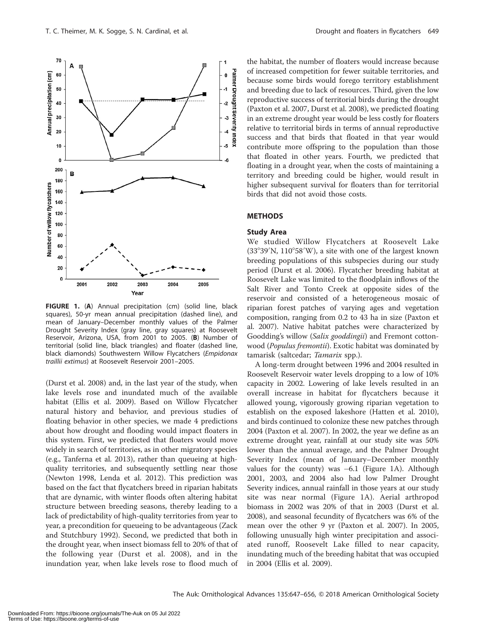

FIGURE 1. (A) Annual precipitation (cm) (solid line, black squares), 50-yr mean annual precipitation (dashed line), and mean of January–December monthly values of the Palmer Drought Severity Index (gray line, gray squares) at Roosevelt Reservoir, Arizona, USA, from 2001 to 2005. (B) Number of territorial (solid line, black triangles) and floater (dashed line, black diamonds) Southwestern Willow Flycatchers (Empidonax traillii extimus) at Roosevelt Reservoir 2001–2005.

(Durst et al. 2008) and, in the last year of the study, when lake levels rose and inundated much of the available habitat (Ellis et al. 2009). Based on Willow Flycatcher natural history and behavior, and previous studies of floating behavior in other species, we made 4 predictions about how drought and flooding would impact floaters in this system. First, we predicted that floaters would move widely in search of territories, as in other migratory species (e.g., Tanferna et al. 2013), rather than queueing at highquality territories, and subsequently settling near those (Newton 1998, Lenda et al. 2012). This prediction was based on the fact that flycatchers breed in riparian habitats that are dynamic, with winter floods often altering habitat structure between breeding seasons, thereby leading to a lack of predictability of high-quality territories from year to year, a precondition for queueing to be advantageous (Zack and Stutchbury 1992). Second, we predicted that both in the drought year, when insect biomass fell to 20% of that of the following year (Durst et al. 2008), and in the inundation year, when lake levels rose to flood much of

the habitat, the number of floaters would increase because of increased competition for fewer suitable territories, and because some birds would forego territory establishment and breeding due to lack of resources. Third, given the low reproductive success of territorial birds during the drought (Paxton et al. 2007, Durst et al. 2008), we predicted floating in an extreme drought year would be less costly for floaters relative to territorial birds in terms of annual reproductive success and that birds that floated in that year would contribute more offspring to the population than those that floated in other years. Fourth, we predicted that floating in a drought year, when the costs of maintaining a territory and breeding could be higher, would result in higher subsequent survival for floaters than for territorial birds that did not avoid those costs.

#### METHODS

#### Study Area

We studied Willow Flycatchers at Roosevelt Lake  $(33°39'N, 110°58'W)$ , a site with one of the largest known breeding populations of this subspecies during our study period (Durst et al. 2006). Flycatcher breeding habitat at Roosevelt Lake was limited to the floodplain inflows of the Salt River and Tonto Creek at opposite sides of the reservoir and consisted of a heterogeneous mosaic of riparian forest patches of varying ages and vegetation composition, ranging from 0.2 to 43 ha in size (Paxton et al. 2007). Native habitat patches were characterized by Goodding's willow (Salix gooddingii) and Fremont cottonwood (Populus fremontii). Exotic habitat was dominated by tamarisk (saltcedar; Tamarix spp.).

A long-term drought between 1996 and 2004 resulted in Roosevelt Reservoir water levels dropping to a low of 10% capacity in 2002. Lowering of lake levels resulted in an overall increase in habitat for flycatchers because it allowed young, vigorously growing riparian vegetation to establish on the exposed lakeshore (Hatten et al. 2010), and birds continued to colonize these new patches through 2004 (Paxton et al. 2007). In 2002, the year we define as an extreme drought year, rainfall at our study site was 50% lower than the annual average, and the Palmer Drought Severity Index (mean of January–December monthly values for the county) was -6.1 (Figure 1A). Although 2001, 2003, and 2004 also had low Palmer Drought Severity indices, annual rainfall in those years at our study site was near normal (Figure 1A). Aerial arthropod biomass in 2002 was 20% of that in 2003 (Durst et al. 2008), and seasonal fecundity of flycatchers was 6% of the mean over the other 9 yr (Paxton et al. 2007). In 2005, following unusually high winter precipitation and associated runoff, Roosevelt Lake filled to near capacity, inundating much of the breeding habitat that was occupied in 2004 (Ellis et al. 2009).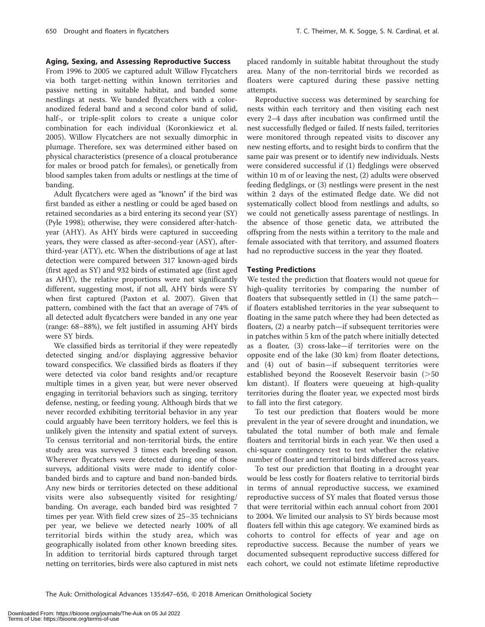# Aging, Sexing, and Assessing Reproductive Success

From 1996 to 2005 we captured adult Willow Flycatchers via both target-netting within known territories and passive netting in suitable habitat, and banded some nestlings at nests. We banded flycatchers with a coloranodized federal band and a second color band of solid, half-, or triple-split colors to create a unique color combination for each individual (Koronkiewicz et al. 2005). Willow Flycatchers are not sexually dimorphic in plumage. Therefore, sex was determined either based on physical characteristics (presence of a cloacal protuberance for males or brood patch for females), or genetically from blood samples taken from adults or nestlings at the time of banding.

Adult flycatchers were aged as ''known'' if the bird was first banded as either a nestling or could be aged based on retained secondaries as a bird entering its second year (SY) (Pyle 1998); otherwise, they were considered after-hatchyear (AHY). As AHY birds were captured in succeeding years, they were classed as after-second-year (ASY), afterthird-year (ATY), etc. When the distributions of age at last detection were compared between 317 known-aged birds (first aged as SY) and 932 birds of estimated age (first aged as AHY), the relative proportions were not significantly different, suggesting most, if not all, AHY birds were SY when first captured (Paxton et al. 2007). Given that pattern, combined with the fact that an average of 74% of all detected adult flycatchers were banded in any one year (range: 68–88%), we felt justified in assuming AHY birds were SY birds.

We classified birds as territorial if they were repeatedly detected singing and/or displaying aggressive behavior toward conspecifics. We classified birds as floaters if they were detected via color band resights and/or recapture multiple times in a given year, but were never observed engaging in territorial behaviors such as singing, territory defense, nesting, or feeding young. Although birds that we never recorded exhibiting territorial behavior in any year could arguably have been territory holders, we feel this is unlikely given the intensity and spatial extent of surveys. To census territorial and non-territorial birds, the entire study area was surveyed 3 times each breeding season. Wherever flycatchers were detected during one of those surveys, additional visits were made to identify colorbanded birds and to capture and band non-banded birds. Any new birds or territories detected on these additional visits were also subsequently visited for resighting/ banding. On average, each banded bird was resighted 7 times per year. With field crew sizes of 25–35 technicians per year, we believe we detected nearly 100% of all territorial birds within the study area, which was geographically isolated from other known breeding sites. In addition to territorial birds captured through target netting on territories, birds were also captured in mist nets

placed randomly in suitable habitat throughout the study area. Many of the non-territorial birds we recorded as floaters were captured during these passive netting attempts.

Reproductive success was determined by searching for nests within each territory and then visiting each nest every 2–4 days after incubation was confirmed until the nest successfully fledged or failed. If nests failed, territories were monitored through repeated visits to discover any new nesting efforts, and to resight birds to confirm that the same pair was present or to identify new individuals. Nests were considered successful if (1) fledglings were observed within 10 m of or leaving the nest, (2) adults were observed feeding fledglings, or (3) nestlings were present in the nest within 2 days of the estimated fledge date. We did not systematically collect blood from nestlings and adults, so we could not genetically assess parentage of nestlings. In the absence of those genetic data, we attributed the offspring from the nests within a territory to the male and female associated with that territory, and assumed floaters had no reproductive success in the year they floated.

# Testing Predictions

We tested the prediction that floaters would not queue for high-quality territories by comparing the number of floaters that subsequently settled in (1) the same patch if floaters established territories in the year subsequent to floating in the same patch where they had been detected as floaters, (2) a nearby patch—if subsequent territories were in patches within 5 km of the patch where initially detected as a floater, (3) cross-lake—if territories were on the opposite end of the lake (30 km) from floater detections, and (4) out of basin—if subsequent territories were established beyond the Roosevelt Reservoir basin  $(>50$ km distant). If floaters were queueing at high-quality territories during the floater year, we expected most birds to fall into the first category.

To test our prediction that floaters would be more prevalent in the year of severe drought and inundation, we tabulated the total number of both male and female floaters and territorial birds in each year. We then used a chi-square contingency test to test whether the relative number of floater and territorial birds differed across years.

To test our prediction that floating in a drought year would be less costly for floaters relative to territorial birds in terms of annual reproductive success, we examined reproductive success of SY males that floated versus those that were territorial within each annual cohort from 2001 to 2004. We limited our analysis to SY birds because most floaters fell within this age category. We examined birds as cohorts to control for effects of year and age on reproductive success. Because the number of years we documented subsequent reproductive success differed for each cohort, we could not estimate lifetime reproductive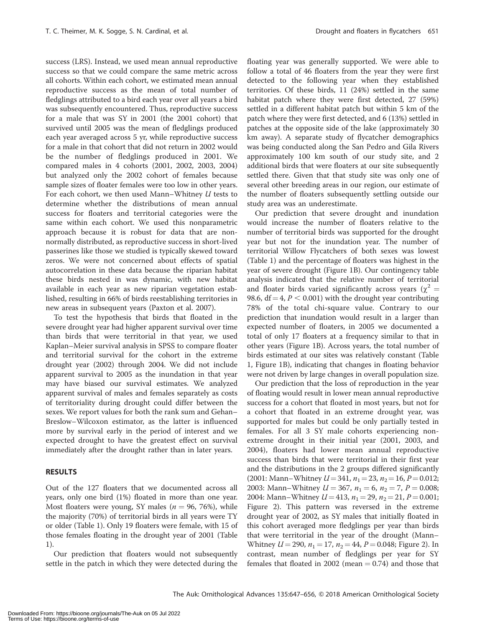success (LRS). Instead, we used mean annual reproductive success so that we could compare the same metric across all cohorts. Within each cohort, we estimated mean annual reproductive success as the mean of total number of fledglings attributed to a bird each year over all years a bird was subsequently encountered. Thus, reproductive success for a male that was SY in 2001 (the 2001 cohort) that survived until 2005 was the mean of fledglings produced each year averaged across 5 yr, while reproductive success for a male in that cohort that did not return in 2002 would be the number of fledglings produced in 2001. We compared males in 4 cohorts (2001, 2002, 2003, 2004) but analyzed only the 2002 cohort of females because sample sizes of floater females were too low in other years. For each cohort, we then used Mann–Whitney U tests to determine whether the distributions of mean annual success for floaters and territorial categories were the same within each cohort. We used this nonparametric approach because it is robust for data that are nonnormally distributed, as reproductive success in short-lived passerines like those we studied is typically skewed toward zeros. We were not concerned about effects of spatial autocorrelation in these data because the riparian habitat these birds nested in was dynamic, with new habitat available in each year as new riparian vegetation established, resulting in 66% of birds reestablishing territories in new areas in subsequent years (Paxton et al. 2007).

To test the hypothesis that birds that floated in the severe drought year had higher apparent survival over time than birds that were territorial in that year, we used Kaplan–Meier survival analysis in SPSS to compare floater and territorial survival for the cohort in the extreme drought year (2002) through 2004. We did not include apparent survival to 2005 as the inundation in that year may have biased our survival estimates. We analyzed apparent survival of males and females separately as costs of territoriality during drought could differ between the sexes. We report values for both the rank sum and Gehan– Breslow–Wilcoxon estimator, as the latter is influenced more by survival early in the period of interest and we expected drought to have the greatest effect on survival immediately after the drought rather than in later years.

# RESULTS

Out of the 127 floaters that we documented across all years, only one bird (1%) floated in more than one year. Most floaters were young, SY males ( $n = 96, 76\%$ ), while the majority (70%) of territorial birds in all years were TY or older (Table 1). Only 19 floaters were female, with 15 of those females floating in the drought year of 2001 (Table 1).

Our prediction that floaters would not subsequently settle in the patch in which they were detected during the floating year was generally supported. We were able to follow a total of 46 floaters from the year they were first detected to the following year when they established territories. Of these birds, 11 (24%) settled in the same habitat patch where they were first detected, 27 (59%) settled in a different habitat patch but within 5 km of the patch where they were first detected, and 6 (13%) settled in patches at the opposite side of the lake (approximately 30 km away). A separate study of flycatcher demographics was being conducted along the San Pedro and Gila Rivers approximately 100 km south of our study site, and 2 additional birds that were floaters at our site subsequently settled there. Given that that study site was only one of several other breeding areas in our region, our estimate of the number of floaters subsequently settling outside our study area was an underestimate.

Our prediction that severe drought and inundation would increase the number of floaters relative to the number of territorial birds was supported for the drought year but not for the inundation year. The number of territorial Willow Flycatchers of both sexes was lowest (Table 1) and the percentage of floaters was highest in the year of severe drought (Figure 1B). Our contingency table analysis indicated that the relative number of territorial and floater birds varied significantly across years ( $\chi^2$  = 98.6,  $df = 4$ ,  $P < 0.001$ ) with the drought year contributing 78% of the total chi-square value. Contrary to our prediction that inundation would result in a larger than expected number of floaters, in 2005 we documented a total of only 17 floaters at a frequency similar to that in other years (Figure 1B). Across years, the total number of birds estimated at our sites was relatively constant (Table 1, Figure 1B), indicating that changes in floating behavior were not driven by large changes in overall population size.

Our prediction that the loss of reproduction in the year of floating would result in lower mean annual reproductive success for a cohort that floated in most years, but not for a cohort that floated in an extreme drought year, was supported for males but could be only partially tested in females. For all 3 SY male cohorts experiencing nonextreme drought in their initial year (2001, 2003, and 2004), floaters had lower mean annual reproductive success than birds that were territorial in their first year and the distributions in the 2 groups differed significantly (2001: Mann–Whitney  $U = 341$ ,  $n_1 = 23$ ,  $n_2 = 16$ ,  $P = 0.012$ ; 2003: Mann–Whitney  $U = 367$ ,  $n_1 = 6$ ,  $n_2 = 7$ ,  $P = 0.008$ ; 2004: Mann–Whitney  $U = 413$ ,  $n_1 = 29$ ,  $n_2 = 21$ ,  $P = 0.001$ ; Figure 2). This pattern was reversed in the extreme drought year of 2002, as SY males that initially floated in this cohort averaged more fledglings per year than birds that were territorial in the year of the drought (Mann– Whitney  $U = 290$ ,  $n_1 = 17$ ,  $n_2 = 44$ ,  $P = 0.048$ ; Figure 2). In contrast, mean number of fledglings per year for SY females that floated in 2002 (mean  $= 0.74$ ) and those that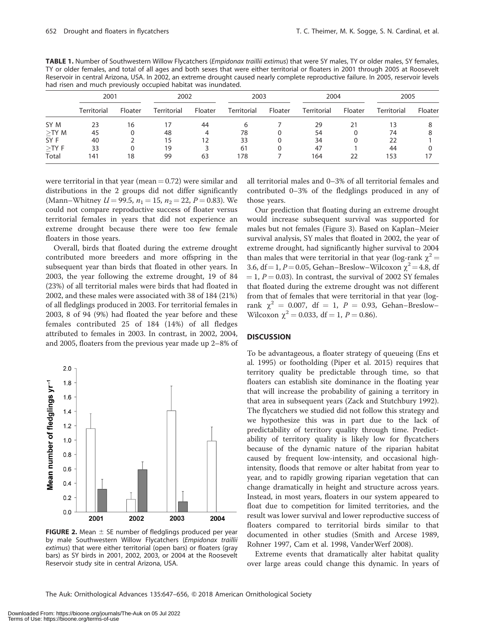TABLE 1. Number of Southwestern Willow Flycatchers (Empidonax traillii extimus) that were SY males, TY or older males, SY females, TY or older females, and total of all ages and both sexes that were either territorial or floaters in 2001 through 2005 at Roosevelt Reservoir in central Arizona, USA. In 2002, an extreme drought caused nearly complete reproductive failure. In 2005, reservoir levels had risen and much previously occupied habitat was inundated.

|          | 2001               |         | 2002        |         | 2003        |         | 2004        |         | 2005        |         |
|----------|--------------------|---------|-------------|---------|-------------|---------|-------------|---------|-------------|---------|
|          | <b>Territorial</b> | Floater | Territorial | Floater | Territorial | Floater | Territorial | Floater | Territorial | Floater |
| SY M     | 23                 | 16      |             | 44      |             |         | 29          | 21      | 13          |         |
| $>$ TY M | 45                 | 0       | 48          | 4       | 78          |         | 54          |         | 74          |         |
| SY F     | 40                 |         | 15          | 12      | 33          | O       | 34          |         | 22          |         |
| $>$ TYF  | 33                 | 0       | 19          |         | 61          |         | 47          |         | 44          |         |
| Total    | 141                | 18      | 99          | 63      | 178         |         | 164         | 22      | 153         |         |

were territorial in that year (mean  $= 0.72$ ) were similar and distributions in the 2 groups did not differ significantly (Mann–Whitney  $U = 99.5$ ,  $n_1 = 15$ ,  $n_2 = 22$ ,  $P = 0.83$ ). We could not compare reproductive success of floater versus territorial females in years that did not experience an extreme drought because there were too few female floaters in those years.

Overall, birds that floated during the extreme drought contributed more breeders and more offspring in the subsequent year than birds that floated in other years. In 2003, the year following the extreme drought, 19 of 84 (23%) of all territorial males were birds that had floated in 2002, and these males were associated with 38 of 184 (21%) of all fledglings produced in 2003. For territorial females in 2003, 8 of 94 (9%) had floated the year before and these females contributed 25 of 184 (14%) of all fledges attributed to females in 2003. In contrast, in 2002, 2004, and 2005, floaters from the previous year made up 2–8% of



FIGURE 2. Mean  $\pm$  SE number of fledglings produced per year by male Southwestern Willow Flycatchers (Empidonax traillii extimus) that were either territorial (open bars) or floaters (gray bars) as SY birds in 2001, 2002, 2003, or 2004 at the Roosevelt Reservoir study site in central Arizona, USA.

all territorial males and 0–3% of all territorial females and contributed 0–3% of the fledglings produced in any of those years.

Our prediction that floating during an extreme drought would increase subsequent survival was supported for males but not females (Figure 3). Based on Kaplan–Meier survival analysis, SY males that floated in 2002, the year of extreme drought, had significantly higher survival to 2004 than males that were territorial in that year (log-rank  $\chi^2$  = 3.6, df = 1, P = 0.05, Gehan–Breslow–Wilcoxon  $\gamma^2$  = 4.8, df  $= 1, P = 0.03$ ). In contrast, the survival of 2002 SY females that floated during the extreme drought was not different from that of females that were territorial in that year (logrank  $\chi^2 = 0.007$ , df = 1, P = 0.93, Gehan–Breslow– Wilcoxon  $\chi^2 = 0.033$ , df = 1, P = 0.86).

# **DISCUSSION**

To be advantageous, a floater strategy of queueing (Ens et al. 1995) or footholding (Piper et al. 2015) requires that territory quality be predictable through time, so that floaters can establish site dominance in the floating year that will increase the probability of gaining a territory in that area in subsequent years (Zack and Stutchbury 1992). The flycatchers we studied did not follow this strategy and we hypothesize this was in part due to the lack of predictability of territory quality through time. Predictability of territory quality is likely low for flycatchers because of the dynamic nature of the riparian habitat caused by frequent low-intensity, and occasional highintensity, floods that remove or alter habitat from year to year, and to rapidly growing riparian vegetation that can change dramatically in height and structure across years. Instead, in most years, floaters in our system appeared to float due to competition for limited territories, and the result was lower survival and lower reproductive success of floaters compared to territorial birds similar to that documented in other studies (Smith and Arcese 1989, Rohner 1997, Cam et al. 1998, VanderWerf 2008).

Extreme events that dramatically alter habitat quality over large areas could change this dynamic. In years of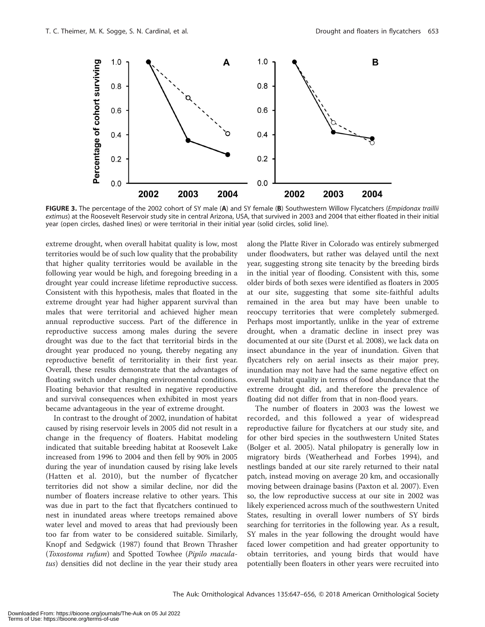

FIGURE 3. The percentage of the 2002 cohort of SY male (A) and SY female (B) Southwestern Willow Flycatchers (Empidonax traillii extimus) at the Roosevelt Reservoir study site in central Arizona, USA, that survived in 2003 and 2004 that either floated in their initial year (open circles, dashed lines) or were territorial in their initial year (solid circles, solid line).

extreme drought, when overall habitat quality is low, most territories would be of such low quality that the probability that higher quality territories would be available in the following year would be high, and foregoing breeding in a drought year could increase lifetime reproductive success. Consistent with this hypothesis, males that floated in the extreme drought year had higher apparent survival than males that were territorial and achieved higher mean annual reproductive success. Part of the difference in reproductive success among males during the severe drought was due to the fact that territorial birds in the drought year produced no young, thereby negating any reproductive benefit of territoriality in their first year. Overall, these results demonstrate that the advantages of floating switch under changing environmental conditions. Floating behavior that resulted in negative reproductive and survival consequences when exhibited in most years became advantageous in the year of extreme drought.

In contrast to the drought of 2002, inundation of habitat caused by rising reservoir levels in 2005 did not result in a change in the frequency of floaters. Habitat modeling indicated that suitable breeding habitat at Roosevelt Lake increased from 1996 to 2004 and then fell by 90% in 2005 during the year of inundation caused by rising lake levels (Hatten et al. 2010), but the number of flycatcher territories did not show a similar decline, nor did the number of floaters increase relative to other years. This was due in part to the fact that flycatchers continued to nest in inundated areas where treetops remained above water level and moved to areas that had previously been too far from water to be considered suitable. Similarly, Knopf and Sedgwick (1987) found that Brown Thrasher (Toxostoma rufum) and Spotted Towhee (Pipilo maculatus) densities did not decline in the year their study area

along the Platte River in Colorado was entirely submerged under floodwaters, but rather was delayed until the next year, suggesting strong site tenacity by the breeding birds in the initial year of flooding. Consistent with this, some older birds of both sexes were identified as floaters in 2005 at our site, suggesting that some site-faithful adults remained in the area but may have been unable to reoccupy territories that were completely submerged. Perhaps most importantly, unlike in the year of extreme drought, when a dramatic decline in insect prey was documented at our site (Durst et al. 2008), we lack data on insect abundance in the year of inundation. Given that flycatchers rely on aerial insects as their major prey, inundation may not have had the same negative effect on overall habitat quality in terms of food abundance that the extreme drought did, and therefore the prevalence of floating did not differ from that in non-flood years.

The number of floaters in 2003 was the lowest we recorded, and this followed a year of widespread reproductive failure for flycatchers at our study site, and for other bird species in the southwestern United States (Bolger et al. 2005). Natal philopatry is generally low in migratory birds (Weatherhead and Forbes 1994), and nestlings banded at our site rarely returned to their natal patch, instead moving on average 20 km, and occasionally moving between drainage basins (Paxton et al. 2007). Even so, the low reproductive success at our site in 2002 was likely experienced across much of the southwestern United States, resulting in overall lower numbers of SY birds searching for territories in the following year. As a result, SY males in the year following the drought would have faced lower competition and had greater opportunity to obtain territories, and young birds that would have potentially been floaters in other years were recruited into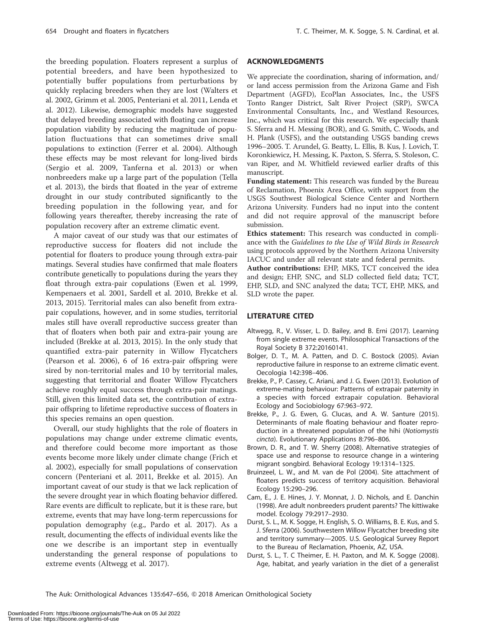the breeding population. Floaters represent a surplus of potential breeders, and have been hypothesized to potentially buffer populations from perturbations by quickly replacing breeders when they are lost (Walters et al. 2002, Grimm et al. 2005, Penteriani et al. 2011, Lenda et al. 2012). Likewise, demographic models have suggested that delayed breeding associated with floating can increase population viability by reducing the magnitude of population fluctuations that can sometimes drive small populations to extinction (Ferrer et al. 2004). Although these effects may be most relevant for long-lived birds (Sergio et al. 2009, Tanferna et al. 2013) or when nonbreeders make up a large part of the population (Tella et al. 2013), the birds that floated in the year of extreme drought in our study contributed significantly to the breeding population in the following year, and for following years thereafter, thereby increasing the rate of population recovery after an extreme climatic event.

A major caveat of our study was that our estimates of reproductive success for floaters did not include the potential for floaters to produce young through extra-pair matings. Several studies have confirmed that male floaters contribute genetically to populations during the years they float through extra-pair copulations (Ewen et al. 1999, Kempenaers et al. 2001, Sardell et al. 2010, Brekke et al. 2013, 2015). Territorial males can also benefit from extrapair copulations, however, and in some studies, territorial males still have overall reproductive success greater than that of floaters when both pair and extra-pair young are included (Brekke at al. 2013, 2015). In the only study that quantified extra-pair paternity in Willow Flycatchers (Pearson et al. 2006), 6 of 16 extra-pair offspring were sired by non-territorial males and 10 by territorial males, suggesting that territorial and floater Willow Flycatchers achieve roughly equal success through extra-pair matings. Still, given this limited data set, the contribution of extrapair offspring to lifetime reproductive success of floaters in this species remains an open question.

Overall, our study highlights that the role of floaters in populations may change under extreme climatic events, and therefore could become more important as those events become more likely under climate change (Frich et al. 2002), especially for small populations of conservation concern (Penteriani et al. 2011, Brekke et al. 2015). An important caveat of our study is that we lack replication of the severe drought year in which floating behavior differed. Rare events are difficult to replicate, but it is these rare, but extreme, events that may have long-term repercussions for population demography (e.g., Pardo et al. 2017). As a result, documenting the effects of individual events like the one we describe is an important step in eventually understanding the general response of populations to extreme events (Altwegg et al. 2017).

### ACKNOWLEDGMENTS

We appreciate the coordination, sharing of information, and/ or land access permission from the Arizona Game and Fish Department (AGFD), EcoPlan Associates, Inc., the USFS Tonto Ranger District, Salt River Project (SRP), SWCA Environmental Consultants, Inc., and Westland Resources, Inc., which was critical for this research. We especially thank S. Sferra and H. Messing (BOR), and G. Smith, C. Woods, and H. Plank (USFS), and the outstanding USGS banding crews 1996–2005. T. Arundel, G. Beatty, L. Ellis, B. Kus, J. Lovich, T. Koronkiewicz, H. Messing, K. Paxton, S. Sferra, S. Stoleson, C. van Riper, and M. Whitfield reviewed earlier drafts of this manuscript.

Funding statement: This research was funded by the Bureau of Reclamation, Phoenix Area Office, with support from the USGS Southwest Biological Science Center and Northern Arizona University. Funders had no input into the content and did not require approval of the manuscript before submission.

Ethics statement: This research was conducted in compliance with the Guidelines to the Use of Wild Birds in Research using protocols approved by the Northern Arizona University IACUC and under all relevant state and federal permits.

Author contributions: EHP, MKS, TCT conceived the idea and design; EHP, SNC, and SLD collected field data; TCT, EHP, SLD, and SNC analyzed the data; TCT, EHP, MKS, and SLD wrote the paper.

# LITERATURE CITED

- Altwegg, R., V. Visser, L. D. Bailey, and B. Erni (2017). Learning from single extreme events. Philosophical Transactions of the Royal Society B 372:20160141.
- Bolger, D. T., M. A. Patten, and D. C. Bostock (2005). Avian reproductive failure in response to an extreme climatic event. Oecologia 142:398–406.
- Brekke, P., P. Cassey, C. Ariani, and J. G. Ewen (2013). Evolution of extreme-mating behaviour: Patterns of extrapair paternity in a species with forced extrapair copulation. Behavioral Ecology and Sociobiology 67:963–972.
- Brekke, P., J. G. Ewen, G. Clucas, and A. W. Santure (2015). Determinants of male floating behaviour and floater reproduction in a threatened population of the hihi (Notiomystis cincta). Evolutionary Applications 8:796–806.
- Brown, D. R., and T. W. Sherry (2008). Alternative strategies of space use and response to resource change in a wintering migrant songbird. Behavioral Ecology 19:1314–1325.
- Bruinzeel, L. W., and M. van de Pol (2004). Site attachment of floaters predicts success of territory acquisition. Behavioral Ecology 15:290–296.
- Cam, E., J. E. Hines, J. Y. Monnat, J. D. Nichols, and E. Danchin (1998). Are adult nonbreeders prudent parents? The kittiwake model. Ecology 79:2917–2930.
- Durst, S. L., M. K. Sogge, H. English, S. O. Williams, B. E. Kus, and S. J. Sferra (2006). Southwestern Willow Flycatcher breeding site and territory summary—2005. U.S. Geological Survey Report to the Bureau of Reclamation, Phoenix, AZ, USA.
- Durst, S. L., T. C Theimer, E. H. Paxton, and M. K. Sogge (2008). Age, habitat, and yearly variation in the diet of a generalist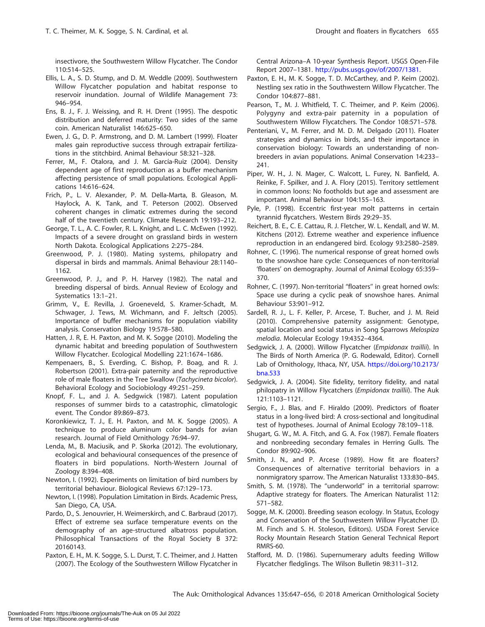insectivore, the Southwestern Willow Flycatcher. The Condor 110:514–525.

- Ellis, L. A., S. D. Stump, and D. M. Weddle (2009). Southwestern Willow Flycatcher population and habitat response to reservoir inundation. Journal of Wildlife Management 73: 946–954.
- Ens, B. J., F. J. Weissing, and R. H. Drent (1995). The despotic distribution and deferred maturity: Two sides of the same coin. American Naturalist 146:625–650.
- Ewen, J. G., D. P. Armstrong, and D. M. Lambert (1999). Floater males gain reproductive success through extrapair fertilizations in the stitchbird. Animal Behaviour 58:321–328.
- Ferrer, M., F. Otalora, and J. M. García-Ruiz (2004). Density dependent age of first reproduction as a buffer mechanism affecting persistence of small populations. Ecological Applications 14:616–624.
- Frich, P., L. V. Alexander, P. M. Della-Marta, B. Gleason, M. Haylock, A. K. Tank, and T. Peterson (2002). Observed coherent changes in climatic extremes during the second half of the twentieth century. Climate Research 19:193–212.
- George, T. L., A. C. Fowler, R. L. Knight, and L. C. McEwen (1992). Impacts of a severe drought on grassland birds in western North Dakota. Ecological Applications 2:275–284.
- Greenwood, P. J. (1980). Mating systems, philopatry and dispersal in birds and mammals. Animal Behaviour 28:1140– 1162.
- Greenwood, P. J., and P. H. Harvey (1982). The natal and breeding dispersal of birds. Annual Review of Ecology and Systematics 13:1–21.
- Grimm, V., E. Revilla, J. Groeneveld, S. Kramer-Schadt, M. Schwager, J. Tews, M. Wichmann, and F. Jeltsch (2005). Importance of buffer mechanisms for population viability analysis. Conservation Biology 19:578–580.
- Hatten, J. R, E. H. Paxton, and M. K. Sogge (2010). Modeling the dynamic habitat and breeding population of Southwestern Willow Flycatcher. Ecological Modelling 221:1674–1686.
- Kempenaers, B., S. Everding, C. Bishop, P. Boag, and R. J. Robertson (2001). Extra-pair paternity and the reproductive role of male floaters in the Tree Swallow (Tachycineta bicolor). Behavioral Ecology and Sociobiology 49:251–259.
- Knopf, F. L., and J. A. Sedgwick (1987). Latent population responses of summer birds to a catastrophic, climatologic event. The Condor 89:869–873.
- Koronkiewicz, T. J., E. H. Paxton, and M. K. Sogge (2005). A technique to produce aluminum color bands for avian research. Journal of Field Ornithology 76:94–97.
- Lenda, M., B. Maciusik, and P. Skorka (2012). The evolutionary, ecological and behavioural consequences of the presence of floaters in bird populations. North-Western Journal of Zoology 8:394–408.
- Newton, I. (1992). Experiments on limitation of bird numbers by territorial behaviour. Biological Reviews 67:129–173.
- Newton, I. (1998). Population Limitation in Birds. Academic Press, San Diego, CA, USA.
- Pardo, D., S. Jenouvrier, H. Weimerskirch, and C. Barbraud (2017). Effect of extreme sea surface temperature events on the demography of an age-structured albatross population. Philosophical Transactions of the Royal Society B 372: 20160143.
- Paxton, E. H., M. K. Sogge, S. L. Durst, T. C. Theimer, and J. Hatten (2007). The Ecology of the Southwestern Willow Flycatcher in

Central Arizona–A 10-year Synthesis Report. USGS Open-File Report 2007–1381. [http://pubs.usgs.gov/of/2007/1381.](http://pubs.usgs.gov/of/2007/1381)

- Paxton, E. H., M. K. Sogge, T. D. McCarthey, and P. Keim (2002). Nestling sex ratio in the Southwestern Willow Flycatcher. The Condor 104:877–881.
- Pearson, T., M. J. Whitfield, T. C. Theimer, and P. Keim (2006). Polygyny and extra-pair paternity in a population of Southwestern Willow Flycatchers. The Condor 108:571–578.
- Penteriani, V., M. Ferrer, and M. D. M. Delgado (2011). Floater strategies and dynamics in birds, and their importance in conservation biology: Towards an understanding of nonbreeders in avian populations. Animal Conservation 14:233– 241.
- Piper, W. H., J. N. Mager, C. Walcott, L. Furey, N. Banfield, A. Reinke, F. Spilker, and J. A. Flory (2015). Territory settlement in common loons: No footholds but age and assessment are important. Animal Behaviour 104:155–163.
- Pyle, P. (1998). Eccentric first-year molt patterns in certain tyrannid flycatchers. Western Birds 29:29–35.
- Reichert, B. E., C. E. Cattau, R. J. Fletcher, W. L. Kendall, and W. M. Kitchens (2012). Extreme weather and experience influence reproduction in an endangered bird. Ecology 93:2580–2589.
- Rohner, C. (1996). The numerical response of great horned owls to the snowshoe hare cycle: Consequences of non-territorial 'floaters' on demography. Journal of Animal Ecology 65:359– 370.
- Rohner, C. (1997). Non-territorial "floaters" in great horned owls: Space use during a cyclic peak of snowshoe hares. Animal Behaviour 53:901–912.
- Sardell, R. J., L. F. Keller, P. Arcese, T. Bucher, and J. M. Reid (2010). Comprehensive paternity assignment: Genotype, spatial location and social status in Song Sparrows Melospiza melodia. Molecular Ecology 19:4352–4364.
- Sedgwick, J. A. (2000). Willow Flycatcher (Empidonax traillii). In The Birds of North America (P. G. Rodewald, Editor). Cornell Lab of Ornithology, Ithaca, NY, USA. [https://doi.org/10.2173/](https://doi.org/10.2173/bna.533) [bna.533](https://doi.org/10.2173/bna.533)
- Sedgwick, J. A. (2004). Site fidelity, territory fidelity, and natal philopatry in Willow Flycatchers (Empidonax traillii). The Auk 121:1103–1121.
- Sergio, F., J. Blas, and F. Hiraldo (2009). Predictors of floater status in a long-lived bird: A cross-sectional and longitudinal test of hypotheses. Journal of Animal Ecology 78:109–118.
- Shugart, G. W., M. A. Fitch, and G. A. Fox (1987). Female floaters and nonbreeding secondary females in Herring Gulls. The Condor 89:902–906.
- Smith, J. N., and P. Arcese (1989). How fit are floaters? Consequences of alternative territorial behaviors in a nonmigratory sparrow. The American Naturalist 133:830–845.
- Smith, S. M. (1978). The "underworld" in a territorial sparrow: Adaptive strategy for floaters. The American Naturalist 112: 571–582.
- Sogge, M. K. (2000). Breeding season ecology. In Status, Ecology and Conservation of the Southwestern Willow Flycatcher (D. M. Finch and S. H. Stoleson, Editors). USDA Forest Service Rocky Mountain Research Station General Technical Report RMRS-60.
- Stafford, M. D. (1986). Supernumerary adults feeding Willow Flycatcher fledglings. The Wilson Bulletin 98:311–312.